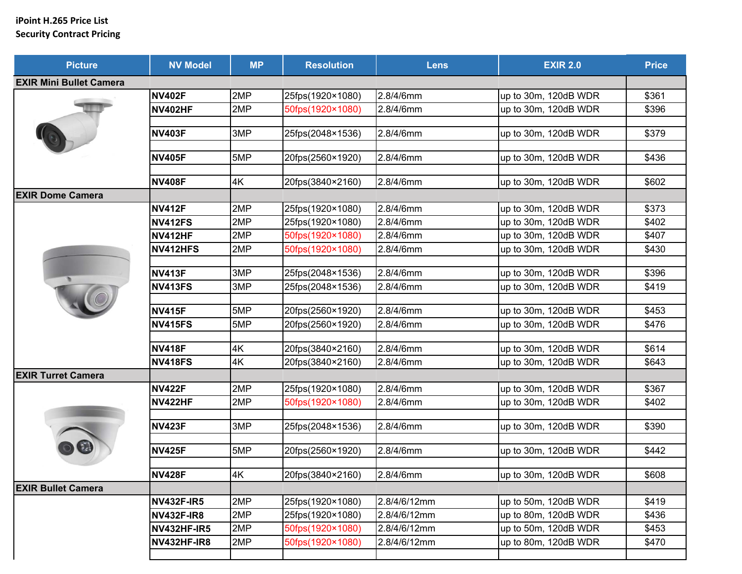## **iPoint H.265 Price List Security Contract Pricing**

| <b>Picture</b>                 | <b>NV Model</b>    | <b>MP</b> | <b>Resolution</b> | <b>Lens</b>  | <b>EXIR 2.0</b>      | <b>Price</b> |
|--------------------------------|--------------------|-----------|-------------------|--------------|----------------------|--------------|
| <b>EXIR Mini Bullet Camera</b> |                    |           |                   |              |                      |              |
|                                | <b>NV402F</b>      | 2MP       | 25fps(1920×1080)  | 2.8/4/6mm    | up to 30m, 120dB WDR | \$361        |
|                                | <b>NV402HF</b>     | 2MP       | 50fps(1920×1080)  | 2.8/4/6mm    | up to 30m, 120dB WDR | \$396        |
|                                |                    |           |                   |              |                      |              |
|                                | <b>NV403F</b>      | 3MP       | 25fps(2048×1536)  | 2.8/4/6mm    | up to 30m, 120dB WDR | \$379        |
|                                |                    |           |                   |              |                      |              |
|                                | <b>NV405F</b>      | 5MP       | 20fps(2560×1920)  | 2.8/4/6mm    | up to 30m, 120dB WDR | \$436        |
|                                | <b>NV408F</b>      | 4K        | 20fps(3840×2160)  | 2.8/4/6mm    | up to 30m, 120dB WDR | \$602        |
| <b>EXIR Dome Camera</b>        |                    |           |                   |              |                      |              |
|                                | <b>NV412F</b>      | 2MP       | 25fps(1920×1080)  | 2.8/4/6mm    | up to 30m, 120dB WDR | \$373        |
|                                | <b>NV412FS</b>     | 2MP       | 25fps(1920×1080)  | 2.8/4/6mm    | up to 30m, 120dB WDR | \$402        |
|                                | <b>NV412HF</b>     | 2MP       | 50fps(1920×1080)  | 2.8/4/6mm    | up to 30m, 120dB WDR | \$407        |
|                                | NV412HFS           | 2MP       | 50fps(1920×1080)  | 2.8/4/6mm    | up to 30m, 120dB WDR | \$430        |
|                                |                    |           |                   |              |                      |              |
|                                | <b>NV413F</b>      | 3MP       | 25fps(2048×1536)  | 2.8/4/6mm    | up to 30m, 120dB WDR | \$396        |
|                                | <b>NV413FS</b>     | 3MP       | 25fps(2048×1536)  | 2.8/4/6mm    | up to 30m, 120dB WDR | \$419        |
|                                | <b>NV415F</b>      | 5MP       | 20fps(2560×1920)  | 2.8/4/6mm    | up to 30m, 120dB WDR | \$453        |
|                                | <b>NV415FS</b>     | 5MP       | 20fps(2560×1920)  | 2.8/4/6mm    | up to 30m, 120dB WDR | \$476        |
|                                |                    |           |                   |              |                      |              |
|                                | <b>NV418F</b>      | 4K        | 20fps(3840×2160)  | 2.8/4/6mm    | up to 30m, 120dB WDR | \$614        |
|                                | <b>NV418FS</b>     | 4K        | 20fps(3840×2160)  | 2.8/4/6mm    | up to 30m, 120dB WDR | \$643        |
| <b>EXIR Turret Camera</b>      |                    |           |                   |              |                      |              |
|                                | <b>NV422F</b>      | 2MP       | 25fps(1920×1080)  | 2.8/4/6mm    | up to 30m, 120dB WDR | \$367        |
|                                | <b>NV422HF</b>     | 2MP       | 50fps(1920×1080)  | 2.8/4/6mm    | up to 30m, 120dB WDR | \$402        |
|                                |                    |           |                   |              |                      |              |
|                                | <b>NV423F</b>      | 3MP       | 25fps(2048×1536)  | 2.8/4/6mm    | up to 30m, 120dB WDR | \$390        |
|                                | <b>NV425F</b>      | 5MP       | 20fps(2560×1920)  | 2.8/4/6mm    | up to 30m, 120dB WDR | \$442        |
|                                |                    |           |                   |              |                      |              |
|                                | <b>NV428F</b>      | 4K        | 20fps(3840×2160)  | 2.8/4/6mm    | up to 30m, 120dB WDR | \$608        |
| <b>EXIR Bullet Camera</b>      |                    |           |                   |              |                      |              |
|                                | <b>NV432F-IR5</b>  | 2MP       | 25fps(1920×1080)  | 2.8/4/6/12mm | up to 50m, 120dB WDR | \$419        |
|                                | <b>NV432F-IR8</b>  | 2MP       | 25fps(1920×1080)  | 2.8/4/6/12mm | up to 80m, 120dB WDR | \$436        |
|                                | <b>NV432HF-IR5</b> | 2MP       | 50fps(1920×1080)  | 2.8/4/6/12mm | up to 50m, 120dB WDR | \$453        |
|                                | <b>NV432HF-IR8</b> | 2MP       | 50fps(1920×1080)  | 2.8/4/6/12mm | up to 80m, 120dB WDR | \$470        |
|                                |                    |           |                   |              |                      |              |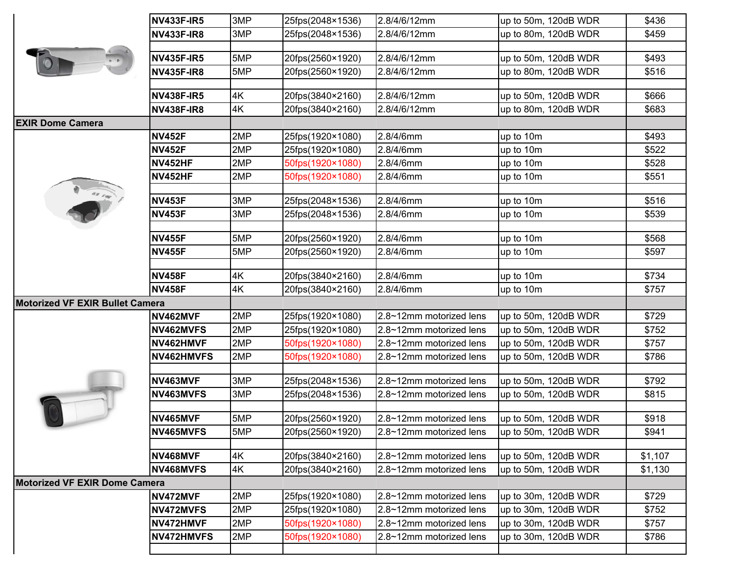|                                        | <b>NV433F-IR5</b> | 3MP | 25fps(2048×1536) | 2.8/4/6/12mm            | up to 50m, 120dB WDR | \$436   |
|----------------------------------------|-------------------|-----|------------------|-------------------------|----------------------|---------|
|                                        | <b>NV433F-IR8</b> | 3MP | 25fps(2048×1536) | 2.8/4/6/12mm            | up to 80m, 120dB WDR | \$459   |
|                                        |                   |     |                  |                         |                      |         |
|                                        | <b>NV435F-IR5</b> | 5MP | 20fps(2560×1920) | 2.8/4/6/12mm            | up to 50m, 120dB WDR | \$493   |
|                                        | <b>NV435F-IR8</b> | 5MP | 20fps(2560×1920) | 2.8/4/6/12mm            | up to 80m, 120dB WDR | \$516   |
|                                        | <b>NV438F-IR5</b> | 4K  | 20fps(3840×2160) | 2.8/4/6/12mm            | up to 50m, 120dB WDR | \$666   |
|                                        | <b>NV438F-IR8</b> | 4K  | 20fps(3840×2160) | 2.8/4/6/12mm            | up to 80m, 120dB WDR | \$683   |
| <b>EXIR Dome Camera</b>                |                   |     |                  |                         |                      |         |
|                                        | <b>NV452F</b>     | 2MP | 25fps(1920×1080) | 2.8/4/6mm               | up to 10m            | \$493   |
|                                        | <b>NV452F</b>     | 2MP | 25fps(1920×1080) | 2.8/4/6mm               | up to 10m            | \$522   |
|                                        | <b>NV452HF</b>    | 2MP | 50fps(1920×1080) | 2.8/4/6mm               | up to 10m            | \$528   |
|                                        | <b>NV452HF</b>    | 2MP | 50fps(1920×1080) | 2.8/4/6mm               | up to 10m            | \$551   |
|                                        | <b>NV453F</b>     | 3MP | 25fps(2048×1536) | 2.8/4/6mm               | up to 10m            | \$516   |
|                                        | <b>NV453F</b>     | 3MP | 25fps(2048×1536) | 2.8/4/6mm               | up to 10m            | \$539   |
|                                        |                   |     |                  |                         |                      |         |
|                                        | <b>NV455F</b>     | 5MP | 20fps(2560×1920) | 2.8/4/6mm               | up to 10m            | \$568   |
|                                        | <b>NV455F</b>     | 5MP | 20fps(2560×1920) | 2.8/4/6mm               | up to 10m            | \$597   |
|                                        | <b>NV458F</b>     | 4K  | 20fps(3840×2160) | 2.8/4/6mm               | up to 10m            | \$734   |
|                                        | <b>NV458F</b>     | 4K  | 20fps(3840×2160) | 2.8/4/6mm               | up to 10m            | \$757   |
| <b>Motorized VF EXIR Bullet Camera</b> |                   |     |                  |                         |                      |         |
|                                        | NV462MVF          | 2MP | 25fps(1920×1080) | 2.8~12mm motorized lens | up to 50m, 120dB WDR | \$729   |
|                                        | NV462MVFS         | 2MP | 25fps(1920×1080) | 2.8~12mm motorized lens | up to 50m, 120dB WDR | \$752   |
|                                        | NV462HMVF         | 2MP | 50fps(1920×1080) | 2.8~12mm motorized lens | up to 50m, 120dB WDR | \$757   |
|                                        | NV462HMVFS        | 2MP | 50fps(1920×1080) | 2.8~12mm motorized lens | up to 50m, 120dB WDR | \$786   |
|                                        | NV463MVF          | 3MP | 25fps(2048×1536) | 2.8~12mm motorized lens | up to 50m, 120dB WDR | \$792   |
|                                        | NV463MVFS         | 3MP | 25fps(2048×1536) | 2.8~12mm motorized lens | up to 50m, 120dB WDR | \$815   |
|                                        |                   |     |                  |                         |                      |         |
|                                        | NV465MVF          | 5MP | 20fps(2560×1920) | 2.8~12mm motorized lens | up to 50m, 120dB WDR | \$918   |
|                                        | NV465MVFS         | 5MP | 20fps(2560×1920) | 2.8~12mm motorized lens | up to 50m, 120dB WDR | \$941   |
|                                        | NV468MVF          | 4K  | 20fps(3840×2160) | 2.8~12mm motorized lens | up to 50m, 120dB WDR | \$1,107 |
|                                        | NV468MVFS         | 4K  | 20fps(3840×2160) | 2.8~12mm motorized lens | up to 50m, 120dB WDR | \$1,130 |
| <b>Motorized VF EXIR Dome Camera</b>   |                   |     |                  |                         |                      |         |
|                                        | NV472MVF          | 2MP | 25fps(1920×1080) | 2.8~12mm motorized lens | up to 30m, 120dB WDR | \$729   |
|                                        | NV472MVFS         | 2MP | 25fps(1920×1080) | 2.8~12mm motorized lens | up to 30m, 120dB WDR | \$752   |
|                                        | NV472HMVF         | 2MP | 50fps(1920×1080) | 2.8~12mm motorized lens | up to 30m, 120dB WDR | \$757   |
|                                        | NV472HMVFS        | 2MP | 50fps(1920×1080) | 2.8~12mm motorized lens | up to 30m, 120dB WDR | \$786   |
|                                        |                   |     |                  |                         |                      |         |